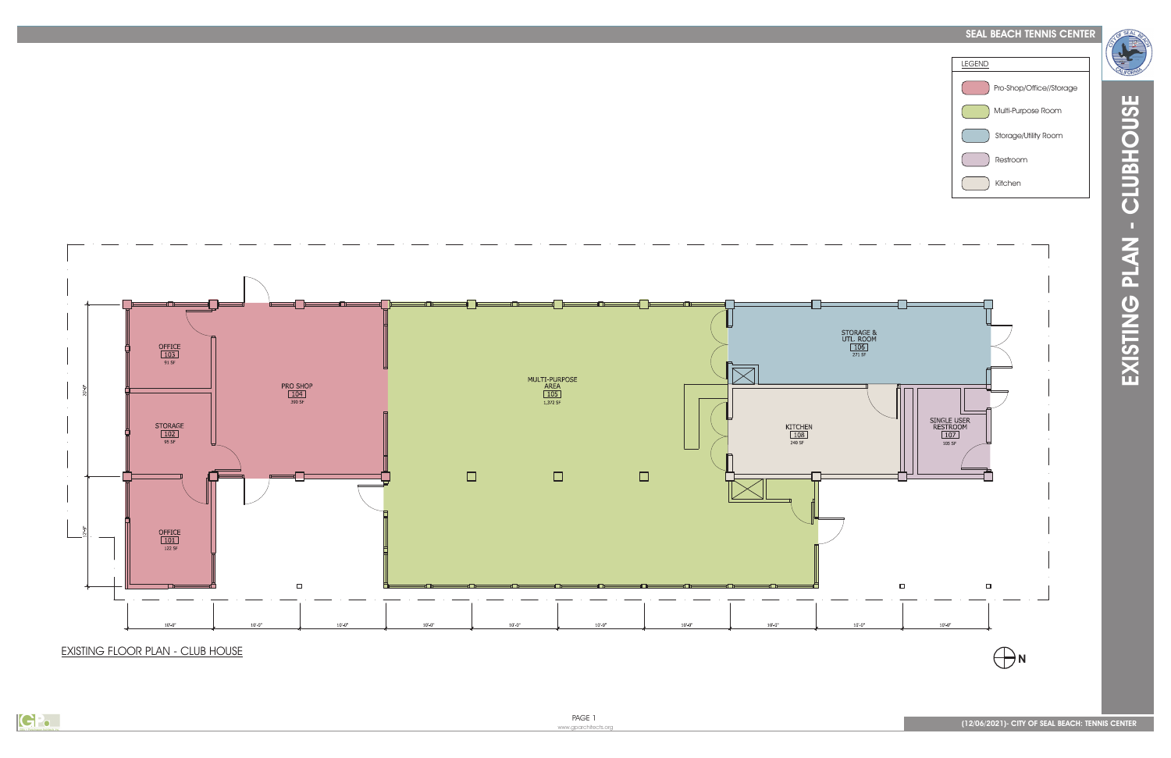## SEAL BEACH TENNIS CENTER



EXISTING FLOOR PLAN - CLUB HOUSE